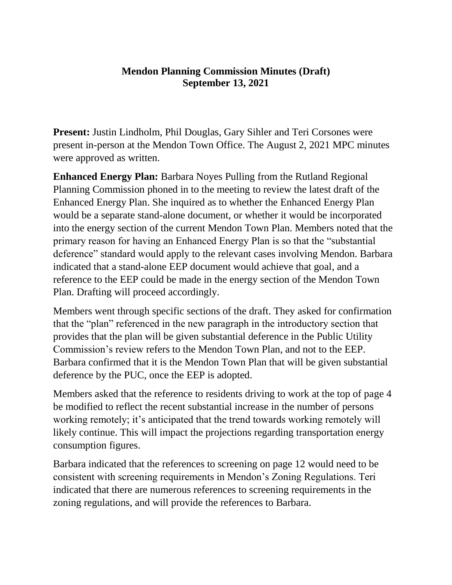## **Mendon Planning Commission Minutes (Draft) September 13, 2021**

**Present:** Justin Lindholm, Phil Douglas, Gary Sihler and Teri Corsones were present in-person at the Mendon Town Office. The August 2, 2021 MPC minutes were approved as written.

**Enhanced Energy Plan:** Barbara Noyes Pulling from the Rutland Regional Planning Commission phoned in to the meeting to review the latest draft of the Enhanced Energy Plan. She inquired as to whether the Enhanced Energy Plan would be a separate stand-alone document, or whether it would be incorporated into the energy section of the current Mendon Town Plan. Members noted that the primary reason for having an Enhanced Energy Plan is so that the "substantial deference" standard would apply to the relevant cases involving Mendon. Barbara indicated that a stand-alone EEP document would achieve that goal, and a reference to the EEP could be made in the energy section of the Mendon Town Plan. Drafting will proceed accordingly.

Members went through specific sections of the draft. They asked for confirmation that the "plan" referenced in the new paragraph in the introductory section that provides that the plan will be given substantial deference in the Public Utility Commission's review refers to the Mendon Town Plan, and not to the EEP. Barbara confirmed that it is the Mendon Town Plan that will be given substantial deference by the PUC, once the EEP is adopted.

Members asked that the reference to residents driving to work at the top of page 4 be modified to reflect the recent substantial increase in the number of persons working remotely; it's anticipated that the trend towards working remotely will likely continue. This will impact the projections regarding transportation energy consumption figures.

Barbara indicated that the references to screening on page 12 would need to be consistent with screening requirements in Mendon's Zoning Regulations. Teri indicated that there are numerous references to screening requirements in the zoning regulations, and will provide the references to Barbara.